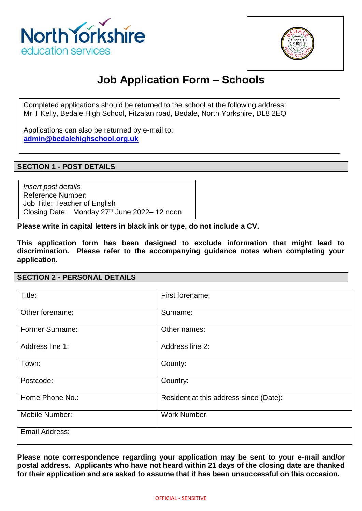



# **Job Application Form – Schools**

Completed applications should be returned to the school at the following address: Mr T Kelly, Bedale High School, Fitzalan road, Bedale, North Yorkshire, DL8 2EQ

Applications can also be returned by e-mail to: **[admin@bedalehighschool.org.uk](mailto:admin@bedalehighschool.org.uk)**

### **SECTION 1 - POST DETAILS**

*Insert post details* Reference Number: Job Title: Teacher of English Closing Date: Monday 27<sup>th</sup> June 2022–12 noon

**Please write in capital letters in black ink or type, do not include a CV.**

**This application form has been designed to exclude information that might lead to discrimination. Please refer to the accompanying guidance notes when completing your application.**

**SECTION 2 - PERSONAL DETAILS**

| Title:                 | First forename:                        |
|------------------------|----------------------------------------|
| Other forename:        | Surname:                               |
| <b>Former Surname:</b> | Other names:                           |
| Address line 1:        | Address line 2:                        |
| Town:                  | County:                                |
| Postcode:              | Country:                               |
| Home Phone No.:        | Resident at this address since (Date): |
| Mobile Number:         | <b>Work Number:</b>                    |
| Email Address:         |                                        |

**Please note correspondence regarding your application may be sent to your e-mail and/or postal address. Applicants who have not heard within 21 days of the closing date are thanked for their application and are asked to assume that it has been unsuccessful on this occasion.**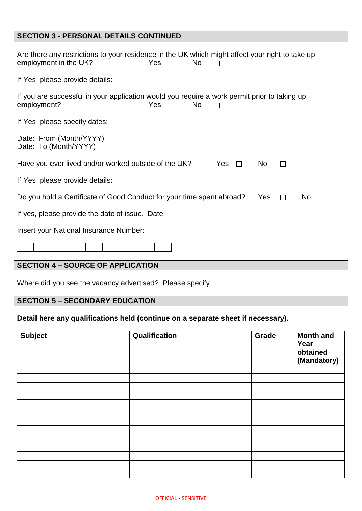# **SECTION 3 - PERSONAL DETAILS CONTINUED**

| Are there any restrictions to your residence in the UK which might affect your right to take up<br>employment in the UK?<br>Yes<br>N <sub>o</sub><br>$\Box$ |
|-------------------------------------------------------------------------------------------------------------------------------------------------------------|
| If Yes, please provide details:                                                                                                                             |
| If you are successful in your application would you require a work permit prior to taking up<br><b>Yes</b><br><b>No</b><br>employment?<br>$\Box$            |
| If Yes, please specify dates:                                                                                                                               |
| Date: From (Month/YYYY)<br>Date: To (Month/YYYY)                                                                                                            |
| Have you ever lived and/or worked outside of the UK?<br>Yes $\Box$<br>No.<br>$\Box$                                                                         |
| If Yes, please provide details:                                                                                                                             |
| Do you hold a Certificate of Good Conduct for your time spent abroad?<br><b>Yes</b><br>No.<br>$\Box$<br>П                                                   |
| If yes, please provide the date of issue. Date:                                                                                                             |
| Insert your National Insurance Number:                                                                                                                      |
|                                                                                                                                                             |
| <b>SECTION 4 - SOURCE OF APPLICATION</b>                                                                                                                    |

Where did you see the vacancy advertised? Please specify:

# **SECTION 5 – SECONDARY EDUCATION**

# **Detail here any qualifications held (continue on a separate sheet if necessary).**

| <b>Subject</b> | Qualification | Grade | <b>Month and</b><br>Year<br>obtained<br>(Mandatory) |
|----------------|---------------|-------|-----------------------------------------------------|
|                |               |       |                                                     |
|                |               |       |                                                     |
|                |               |       |                                                     |
|                |               |       |                                                     |
|                |               |       |                                                     |
|                |               |       |                                                     |
|                |               |       |                                                     |
|                |               |       |                                                     |
|                |               |       |                                                     |
|                |               |       |                                                     |
|                |               |       |                                                     |
|                |               |       |                                                     |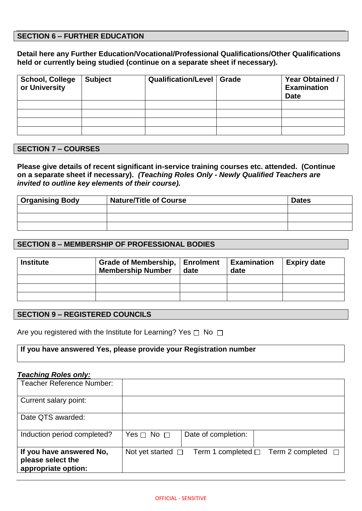### **SECTION 6 – FURTHER EDUCATION**

**Detail here any Further Education/Vocational/Professional Qualifications/Other Qualifications held or currently being studied (continue on a separate sheet if necessary).**

| <b>School, College</b><br>or University | <b>Subject</b> | <b>Qualification/Level   Grade</b> | <b>Year Obtained /</b><br><b>Examination</b><br><b>Date</b> |
|-----------------------------------------|----------------|------------------------------------|-------------------------------------------------------------|
|                                         |                |                                    |                                                             |
|                                         |                |                                    |                                                             |
|                                         |                |                                    |                                                             |
|                                         |                |                                    |                                                             |

### **SECTION 7 – COURSES**

**Please give details of recent significant in-service training courses etc. attended. (Continue on a separate sheet if necessary).** *(Teaching Roles Only - Newly Qualified Teachers are invited to outline key elements of their course).*

| <b>Organising Body</b> | <b>Nature/Title of Course</b> | <b>Dates</b> |
|------------------------|-------------------------------|--------------|
|                        |                               |              |
|                        |                               |              |
|                        |                               |              |

### **SECTION 8 – MEMBERSHIP OF PROFESSIONAL BODIES**

| <b>Institute</b> | Grade of Membership,   Enrolment<br><b>Membership Number</b> | date | <b>Examination</b><br>date | <b>Expiry date</b> |
|------------------|--------------------------------------------------------------|------|----------------------------|--------------------|
|                  |                                                              |      |                            |                    |
|                  |                                                              |      |                            |                    |
|                  |                                                              |      |                            |                    |

### **SECTION 9 – REGISTERED COUNCILS**

Are you registered with the Institute for Learning? Yes  $\Box$  No  $\Box$ 

#### **If you have answered Yes, please provide your Registration number**

#### *Teaching Roles only:*

| Teacher Reference Number:                                            |                                                                           |
|----------------------------------------------------------------------|---------------------------------------------------------------------------|
| Current salary point:                                                |                                                                           |
| Date QTS awarded:                                                    |                                                                           |
| Induction period completed?                                          | Date of completion:<br>Yes $\Box$ No $\Box$                               |
| If you have answered No,<br>please select the<br>appropriate option: | Not yet started $\Box$<br>Term 1 completed $\Box$ Term 2 completed $\Box$ |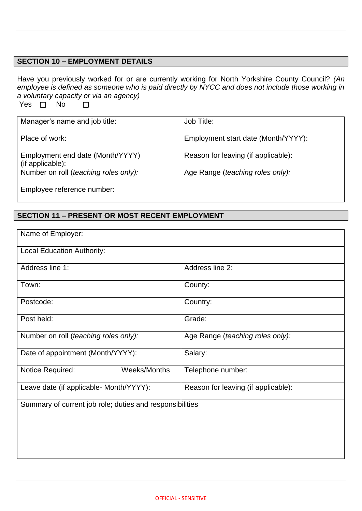### **SECTION 10 – EMPLOYMENT DETAILS**

Have you previously worked for or are currently working for North Yorkshire County Council? *(An employee is defined as someone who is paid directly by NYCC and does not include those working in a voluntary capacity or via an agency)* Yes  $\overline{\bigcap}$  No  $\Box$ 

| Manager's name and job title:                        | Job Title:                          |
|------------------------------------------------------|-------------------------------------|
| Place of work:                                       | Employment start date (Month/YYYY): |
| Employment end date (Month/YYYY)<br>(if applicable): | Reason for leaving (if applicable): |
| Number on roll (teaching roles only):                | Age Range (teaching roles only):    |
| Employee reference number:                           |                                     |

### **SECTION 11 – PRESENT OR MOST RECENT EMPLOYMENT**

| Name of Employer:                                        |                                     |  |
|----------------------------------------------------------|-------------------------------------|--|
| <b>Local Education Authority:</b>                        |                                     |  |
| Address line 1:                                          | Address line 2:                     |  |
| Town:                                                    | County:                             |  |
| Postcode:                                                | Country:                            |  |
| Post held:                                               | Grade:                              |  |
| Number on roll (teaching roles only):                    | Age Range (teaching roles only):    |  |
| Date of appointment (Month/YYYY):                        | Salary:                             |  |
| Weeks/Months<br>Notice Required:                         | Telephone number:                   |  |
| Leave date (if applicable- Month/YYYY):                  | Reason for leaving (if applicable): |  |
| Summary of current job role; duties and responsibilities |                                     |  |
|                                                          |                                     |  |
|                                                          |                                     |  |
|                                                          |                                     |  |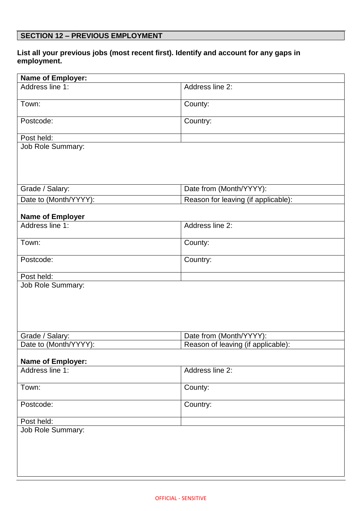# **SECTION 12 – PREVIOUS EMPLOYMENT**

# **List all your previous jobs (most recent first). Identify and account for any gaps in employment.**

| <b>Name of Employer:</b> |                                     |
|--------------------------|-------------------------------------|
| Address line 1:          | Address line 2:                     |
| Town:                    | County:                             |
| Postcode:                | Country:                            |
| Post held:               |                                     |
| Job Role Summary:        |                                     |
| Grade / Salary:          | Date from (Month/YYYY):             |
| Date to (Month/YYYY):    | Reason for leaving (if applicable): |
| <b>Name of Employer</b>  |                                     |
| Address line 1:          | Address line 2:                     |
| Town:                    | County:                             |
| Postcode:                | Country:                            |
| Post held:               |                                     |
| <b>Job Role Summary:</b> |                                     |
| Grade / Salary:          | Date from (Month/YYYY):             |
| Date to (Month/YYYY):    | Reason of leaving (if applicable):  |
| <b>Name of Employer:</b> |                                     |
| Address line 1:          | Address line 2:                     |
| Town:                    | County:                             |
| Postcode:                | Country:                            |
| Post held:               |                                     |
| <b>Job Role Summary:</b> |                                     |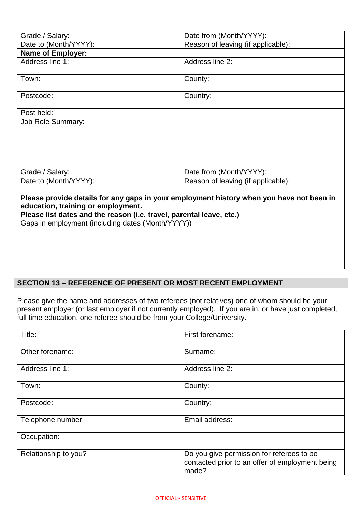| Grade / Salary:                                                                                                                                                                                        | Date from (Month/YYYY):            |  |
|--------------------------------------------------------------------------------------------------------------------------------------------------------------------------------------------------------|------------------------------------|--|
| Date to (Month/YYYY):                                                                                                                                                                                  | Reason of leaving (if applicable): |  |
| <b>Name of Employer:</b>                                                                                                                                                                               |                                    |  |
| Address line 1:                                                                                                                                                                                        | Address line 2:                    |  |
| Town:                                                                                                                                                                                                  | County:                            |  |
| Postcode:                                                                                                                                                                                              | Country:                           |  |
| Post held:                                                                                                                                                                                             |                                    |  |
| <b>Job Role Summary:</b>                                                                                                                                                                               |                                    |  |
|                                                                                                                                                                                                        |                                    |  |
| Grade / Salary:                                                                                                                                                                                        | Date from (Month/YYYY):            |  |
| Date to (Month/YYYY):                                                                                                                                                                                  | Reason of leaving (if applicable): |  |
| Please provide details for any gaps in your employment history when you have not been in<br>education, training or employment.<br>Please list dates and the reason (i.e. travel, parental leave, etc.) |                                    |  |
| Gaps in employment (including dates (Month/YYYY))                                                                                                                                                      |                                    |  |

# **SECTION 13 – REFERENCE OF PRESENT OR MOST RECENT EMPLOYMENT**

Please give the name and addresses of two referees (not relatives) one of whom should be your present employer (or last employer if not currently employed). If you are in, or have just completed, full time education, one referee should be from your College/University.

| Title:               | First forename:                                                                                       |
|----------------------|-------------------------------------------------------------------------------------------------------|
| Other forename:      | Surname:                                                                                              |
| Address line 1:      | Address line 2:                                                                                       |
| Town:                | County:                                                                                               |
| Postcode:            | Country:                                                                                              |
| Telephone number:    | Email address:                                                                                        |
| Occupation:          |                                                                                                       |
| Relationship to you? | Do you give permission for referees to be<br>contacted prior to an offer of employment being<br>made? |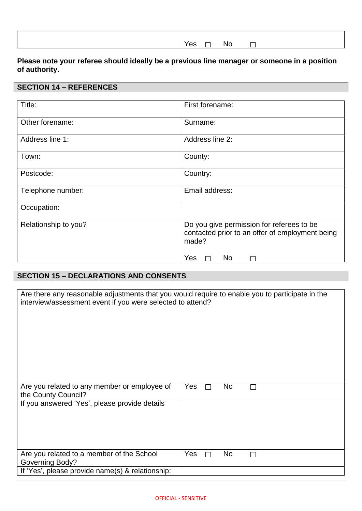| Yes<br>□ | - No | $\overline{\phantom{0}}$ |  |
|----------|------|--------------------------|--|

## **Please note your referee should ideally be a previous line manager or someone in a position of authority.**

### **SECTION 14 – REFERENCES**

| Title:               | First forename:                                                                                       |
|----------------------|-------------------------------------------------------------------------------------------------------|
| Other forename:      | Surname:                                                                                              |
| Address line 1:      | Address line 2:                                                                                       |
| Town:                | County:                                                                                               |
| Postcode:            | Country:                                                                                              |
| Telephone number:    | Email address:                                                                                        |
| Occupation:          |                                                                                                       |
| Relationship to you? | Do you give permission for referees to be<br>contacted prior to an offer of employment being<br>made? |
|                      | Yes<br>N <sub>o</sub>                                                                                 |

# **SECTION 15 – DECLARATIONS AND CONSENTS**

| Are there any reasonable adjustments that you would require to enable you to participate in the<br>interview/assessment event if you were selected to attend? |                     |  |  |  |  |
|---------------------------------------------------------------------------------------------------------------------------------------------------------------|---------------------|--|--|--|--|
|                                                                                                                                                               |                     |  |  |  |  |
| Are you related to any member or employee of<br>the County Council?                                                                                           | Yes<br>No<br>$\Box$ |  |  |  |  |
| If you answered 'Yes', please provide details                                                                                                                 |                     |  |  |  |  |
|                                                                                                                                                               |                     |  |  |  |  |
| Are you related to a member of the School                                                                                                                     | No<br>Yes<br>$\Box$ |  |  |  |  |
| <b>Governing Body?</b>                                                                                                                                        |                     |  |  |  |  |
| If 'Yes', please provide name(s) & relationship:                                                                                                              |                     |  |  |  |  |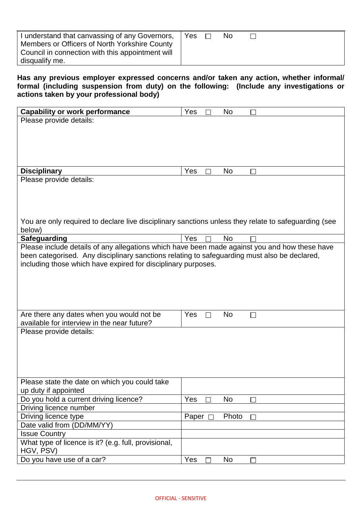| I understand that canvassing of any Governors,<br>Members or Officers of North Yorkshire County<br>Council in connection with this appointment will<br>disqualify me. | Yes |  | No |  |  |  |
|-----------------------------------------------------------------------------------------------------------------------------------------------------------------------|-----|--|----|--|--|--|
|-----------------------------------------------------------------------------------------------------------------------------------------------------------------------|-----|--|----|--|--|--|

**Has any previous employer expressed concerns and/or taken any action, whether informal/ formal (including suspension from duty) on the following: (Include any investigations or actions taken by your professional body)**

| <b>Capability or work performance</b>                                                                | Yes   | No        |  |
|------------------------------------------------------------------------------------------------------|-------|-----------|--|
| Please provide details:                                                                              |       |           |  |
|                                                                                                      |       |           |  |
|                                                                                                      |       |           |  |
|                                                                                                      |       |           |  |
|                                                                                                      |       |           |  |
|                                                                                                      |       |           |  |
| <b>Disciplinary</b>                                                                                  | Yes   | No        |  |
| Please provide details:                                                                              |       |           |  |
|                                                                                                      |       |           |  |
|                                                                                                      |       |           |  |
|                                                                                                      |       |           |  |
|                                                                                                      |       |           |  |
| You are only required to declare live disciplinary sanctions unless they relate to safeguarding (see |       |           |  |
| below)                                                                                               |       |           |  |
| <b>Safeguarding</b>                                                                                  | Yes   | <b>No</b> |  |
| Please include details of any allegations which have been made against you and how these have        |       |           |  |
| been categorised. Any disciplinary sanctions relating to safeguarding must also be declared,         |       |           |  |
| including those which have expired for disciplinary purposes.                                        |       |           |  |
|                                                                                                      |       |           |  |
|                                                                                                      |       |           |  |
|                                                                                                      |       |           |  |
|                                                                                                      |       |           |  |
|                                                                                                      | Yes   | No        |  |
| Are there any dates when you would not be<br>available for interview in the near future?             |       |           |  |
|                                                                                                      |       |           |  |
| Please provide details:                                                                              |       |           |  |
|                                                                                                      |       |           |  |
|                                                                                                      |       |           |  |
|                                                                                                      |       |           |  |
|                                                                                                      |       |           |  |
| Please state the date on which you could take                                                        |       |           |  |
| up duty if appointed                                                                                 |       |           |  |
| Do you hold a current driving licence?                                                               | Yes   | No        |  |
| Driving licence number                                                                               |       |           |  |
| Driving licence type                                                                                 | Paper | Photo     |  |
| Date valid from (DD/MM/YY)                                                                           |       |           |  |
| <b>Issue Country</b>                                                                                 |       |           |  |
| What type of licence is it? (e.g. full, provisional,                                                 |       |           |  |
| HGV, PSV)                                                                                            |       |           |  |
|                                                                                                      |       |           |  |
| Do you have use of a car?                                                                            | Yes   | No.       |  |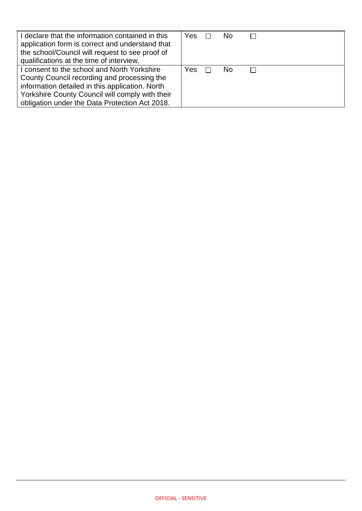| I declare that the information contained in this<br>application form is correct and understand that<br>the school/Council will request to see proof of<br>qualifications at the time of interview. | Yes  |        | No. |  |
|----------------------------------------------------------------------------------------------------------------------------------------------------------------------------------------------------|------|--------|-----|--|
| I consent to the school and North Yorkshire<br>County Council recording and processing the                                                                                                         | Yes. | $\Box$ | No. |  |
| information detailed in this application. North<br>Yorkshire County Council will comply with their<br>obligation under the Data Protection Act 2018.                                               |      |        |     |  |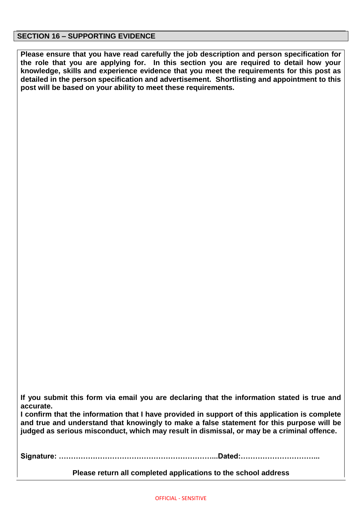#### **SECTION 16 – SUPPORTING EVIDENCE**

**Please ensure that you have read carefully the job description and person specification for the role that you are applying for. In this section you are required to detail how your knowledge, skills and experience evidence that you meet the requirements for this post as detailed in the person specification and advertisement. Shortlisting and appointment to this post will be based on your ability to meet these requirements.**

**If you submit this form via email you are declaring that the information stated is true and accurate.**

**I confirm that the information that I have provided in support of this application is complete and true and understand that knowingly to make a false statement for this purpose will be judged as serious misconduct, which may result in dismissal, or may be a criminal offence.**

**Signature: ………………………………………………………...Dated:…………………………...**

**Please return all completed applications to the school address**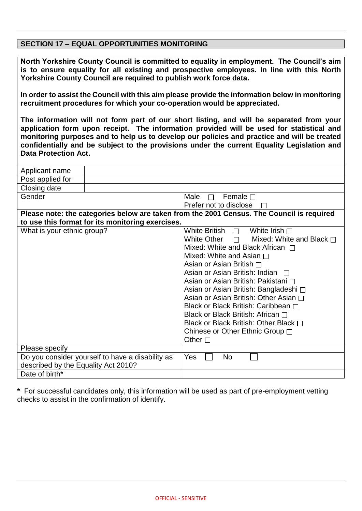### **SECTION 17 – EQUAL OPPORTUNITIES MONITORING**

**North Yorkshire County Council is committed to equality in employment. The Council's aim is to ensure equality for all existing and prospective employees. In line with this North Yorkshire County Council are required to publish work force data.**

**In order to assist the Council with this aim please provide the information below in monitoring recruitment procedures for which your co-operation would be appreciated.** 

**The information will not form part of our short listing, and will be separated from your application form upon receipt. The information provided will be used for statistical and monitoring purposes and to help us to develop our policies and practice and will be treated confidentially and be subject to the provisions under the current Equality Legislation and Data Protection Act.**

| Applicant name                                   |                                                                                           |  |  |
|--------------------------------------------------|-------------------------------------------------------------------------------------------|--|--|
| Post applied for                                 |                                                                                           |  |  |
| Closing date                                     |                                                                                           |  |  |
| Gender                                           | Male<br>Female $\Box$<br>П                                                                |  |  |
|                                                  | Prefer not to disclose                                                                    |  |  |
|                                                  | Please note: the categories below are taken from the 2001 Census. The Council is required |  |  |
| to use this format for its monitoring exercises. |                                                                                           |  |  |
| What is your ethnic group?                       | White British $\Box$<br>White Irish $\sqcap$                                              |  |  |
|                                                  | White Other $\Box$<br>Mixed: White and Black $\Box$                                       |  |  |
|                                                  | Mixed: White and Black African $\Box$                                                     |  |  |
|                                                  | Mixed: White and Asian $\Box$                                                             |  |  |
|                                                  | Asian or Asian British $\Box$                                                             |  |  |
|                                                  | Asian or Asian British: Indian $\Box$                                                     |  |  |
|                                                  | Asian or Asian British: Pakistani □                                                       |  |  |
|                                                  | Asian or Asian British: Bangladeshi □                                                     |  |  |
|                                                  | Asian or Asian British: Other Asian ∩                                                     |  |  |
|                                                  | Black or Black British: Caribbean □                                                       |  |  |
|                                                  | Black or Black British: African $\Box$                                                    |  |  |
|                                                  | Black or Black British: Other Black $\Box$                                                |  |  |
|                                                  | Chinese or Other Ethnic Group □                                                           |  |  |
|                                                  | Other $\square$                                                                           |  |  |
| Please specify                                   |                                                                                           |  |  |
| Do you consider yourself to have a disability as | Yes<br>No                                                                                 |  |  |
| described by the Equality Act 2010?              |                                                                                           |  |  |
| Date of birth*                                   |                                                                                           |  |  |

**\*** For successful candidates only, this information will be used as part of pre-employment vetting checks to assist in the confirmation of identify.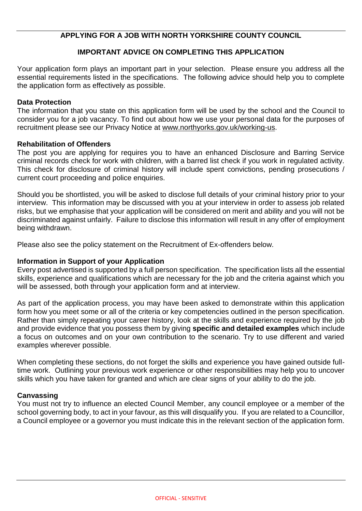## **APPLYING FOR A JOB WITH NORTH YORKSHIRE COUNTY COUNCIL**

### **IMPORTANT ADVICE ON COMPLETING THIS APPLICATION**

Your application form plays an important part in your selection. Please ensure you address all the essential requirements listed in the specifications. The following advice should help you to complete the application form as effectively as possible.

### **Data Protection**

The information that you state on this application form will be used by the school and the Council to consider you for a job vacancy. To find out about how we use your personal data for the purposes of recruitment please see our Privacy Notice at [www.northyorks.gov.uk/working-us.](http://www.northyorks.gov.uk/working-us)

### **Rehabilitation of Offenders**

The post you are applying for requires you to have an enhanced Disclosure and Barring Service criminal records check for work with children, with a barred list check if you work in regulated activity. This check for disclosure of criminal history will include spent convictions, pending prosecutions / current court proceeding and police enquiries.

Should you be shortlisted, you will be asked to disclose full details of your criminal history prior to your interview. This information may be discussed with you at your interview in order to assess job related risks, but we emphasise that your application will be considered on merit and ability and you will not be discriminated against unfairly. Failure to disclose this information will result in any offer of employment being withdrawn.

Please also see the policy statement on the Recruitment of Ex-offenders below.

### **Information in Support of your Application**

Every post advertised is supported by a full person specification. The specification lists all the essential skills, experience and qualifications which are necessary for the job and the criteria against which you will be assessed, both through your application form and at interview.

As part of the application process, you may have been asked to demonstrate within this application form how you meet some or all of the criteria or key competencies outlined in the person specification. Rather than simply repeating your career history, look at the skills and experience required by the job and provide evidence that you possess them by giving **specific and detailed examples** which include a focus on outcomes and on your own contribution to the scenario. Try to use different and varied examples wherever possible.

When completing these sections, do not forget the skills and experience you have gained outside fulltime work. Outlining your previous work experience or other responsibilities may help you to uncover skills which you have taken for granted and which are clear signs of your ability to do the job.

#### **Canvassing**

You must not try to influence an elected Council Member, any council employee or a member of the school governing body, to act in your favour, as this will disqualify you. If you are related to a Councillor, a Council employee or a governor you must indicate this in the relevant section of the application form.